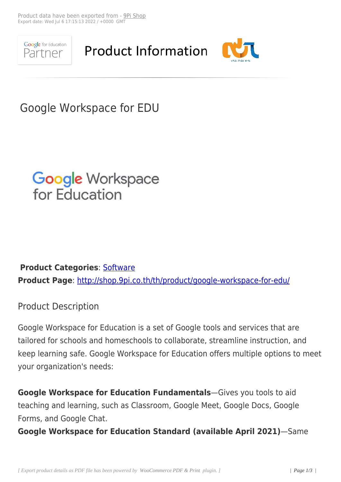

**Product Information** 



## Google Workspace for EDU



## **Product Categories**: Software **Product Page**: http://shop.9pi.co.th/th/product/google-workspace-for-edu/

## Product Descr[iption](http://shop.9pi.co.th/th/product/google-workspace-for-edu/)

Google Workspace for Education is a set of Google tools and services that are tailored for schools and homeschools to collaborate, streamline instruction, and keep learning safe. Google Workspace for Education offers multiple options to meet your organization's needs:

**Google Workspace for Education Fundamentals**—Gives you tools to aid teaching and learning, such as Classroom, Google Meet, Google Docs, Google Forms, and Google Chat.

**Google Workspace for Education Standard (available April 2021)**—Same